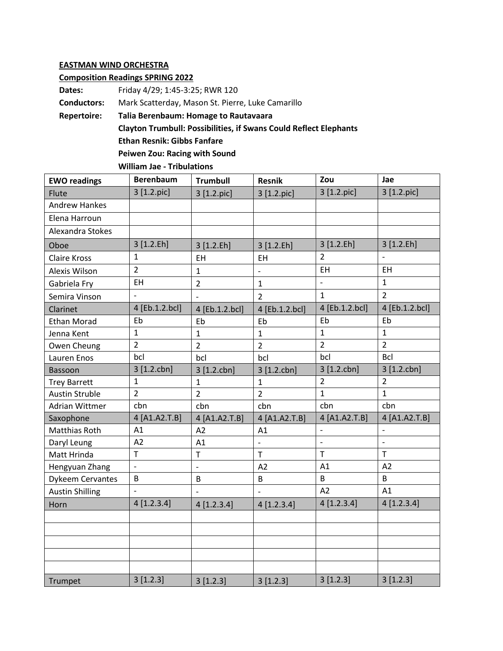## **EASTMAN WIND ORCHESTRA**

## **Composition Readings SPRING 2022**

**Dates:** Friday 4/29; 1:45-3:25; RWR 120 **Conductors:** Mark Scatterday, Mason St. Pierre, Luke Camarillo **Repertoire: Talia Berenbaum: Homage to Rautavaara Clayton Trumbull: Possibilities, if Swans Could Reflect Elephants Ethan Resnik: Gibbs Fanfare Peiwen Zou: Racing with Sound**

**William Jae - Tribulations**

| <b>EWO readings</b>     | <b>Berenbaum</b> | <b>Trumbull</b>          | <b>Resnik</b>            | Zou            | Jae            |
|-------------------------|------------------|--------------------------|--------------------------|----------------|----------------|
| Flute                   | 3 [1.2.pic]      | 3 [1.2.pic]              | 3 [1.2.pic]              | 3 [1.2.pic]    | 3 [1.2.pic]    |
| <b>Andrew Hankes</b>    |                  |                          |                          |                |                |
| Elena Harroun           |                  |                          |                          |                |                |
| Alexandra Stokes        |                  |                          |                          |                |                |
| Oboe                    | 3 [1.2.Eh]       | 3 [1.2.Eh]               | 3 [1.2.Eh]               | 3 [1.2.Eh]     | 3 [1.2.Eh]     |
| <b>Claire Kross</b>     | $\mathbf{1}$     | <b>EH</b>                | EH                       | $\overline{2}$ | $\frac{1}{2}$  |
| Alexis Wilson           | $\overline{2}$   | $\mathbf{1}$             | $\overline{\phantom{m}}$ | EH             | EH             |
| Gabriela Fry            | <b>EH</b>        | $\overline{2}$           | $\mathbf{1}$             | $\mathbb{L}$   | $\mathbf{1}$   |
| Semira Vinson           |                  | $\overline{\phantom{a}}$ | $\overline{2}$           | $\mathbf{1}$   | $\overline{2}$ |
| Clarinet                | 4 [Eb.1.2.bcl]   | 4 [Eb.1.2.bcl]           | 4 [Eb.1.2.bcl]           | 4 [Eb.1.2.bcl] | 4 [Eb.1.2.bcl] |
| <b>Ethan Morad</b>      | Eb               | Eb                       | Eb                       | Eb             | Eb             |
| Jenna Kent              | $\mathbf{1}$     | $\mathbf{1}$             | $\mathbf{1}$             | $\mathbf{1}$   | $\mathbf{1}$   |
| Owen Cheung             | $\overline{2}$   | $\overline{2}$           | $\overline{2}$           | $\overline{2}$ | $\overline{2}$ |
| Lauren Enos             | bcl              | bcl                      | bcl                      | bcl            | Bcl            |
| Bassoon                 | 3 [1.2.chn]      | 3 [1.2.chn]              | 3 [1.2cbn]               | 3 [1.2.chn]    | 3 [1.2cbn]     |
| <b>Trey Barrett</b>     | $\mathbf{1}$     | $\mathbf{1}$             | $\mathbf{1}$             | $\overline{2}$ | $\overline{2}$ |
| <b>Austin Struble</b>   | $\overline{2}$   | $\overline{2}$           | $\overline{2}$           | $\mathbf{1}$   | $\mathbf{1}$   |
| Adrian Wittmer          | cbn              | cbn                      | cbn                      | cbn            | cbn            |
| Saxophone               | 4 [A1.A2.T.B]    | 4 [A1.A2.T.B]            | 4 [A1.A2.T.B]            | 4 [A1.A2.T.B]  | 4 [A1.A2.T.B]  |
| Matthias Roth           | A1               | A2                       | A1                       | $\blacksquare$ | $\blacksquare$ |
| Daryl Leung             | A2               | A1                       |                          | $\overline{a}$ | $\overline{a}$ |
| Matt Hrinda             | T                | T                        | $\mathsf{T}$             | T.             | $\mathsf{T}$   |
| Hengyuan Zhang          | $\frac{1}{2}$    | $\overline{\phantom{0}}$ | A2                       | A1             | A2             |
| <b>Dykeem Cervantes</b> | B                | B                        | $\sf B$                  | B              | B              |
| <b>Austin Shilling</b>  |                  |                          |                          | A2             | A1             |
| Horn                    | 4 [1.2.3.4]      | 4[1.2.3.4]               | 4[1.2.3.4]               | 4[1.2.3.4]     | 4[1.2.3.4]     |
|                         |                  |                          |                          |                |                |
|                         |                  |                          |                          |                |                |
|                         |                  |                          |                          |                |                |
|                         |                  |                          |                          |                |                |
|                         |                  |                          |                          |                |                |
| Trumpet                 | 3[1.2.3]         | 3[1.2.3]                 | 3[1.2.3]                 | 3[1.2.3]       | 3[1.2.3]       |